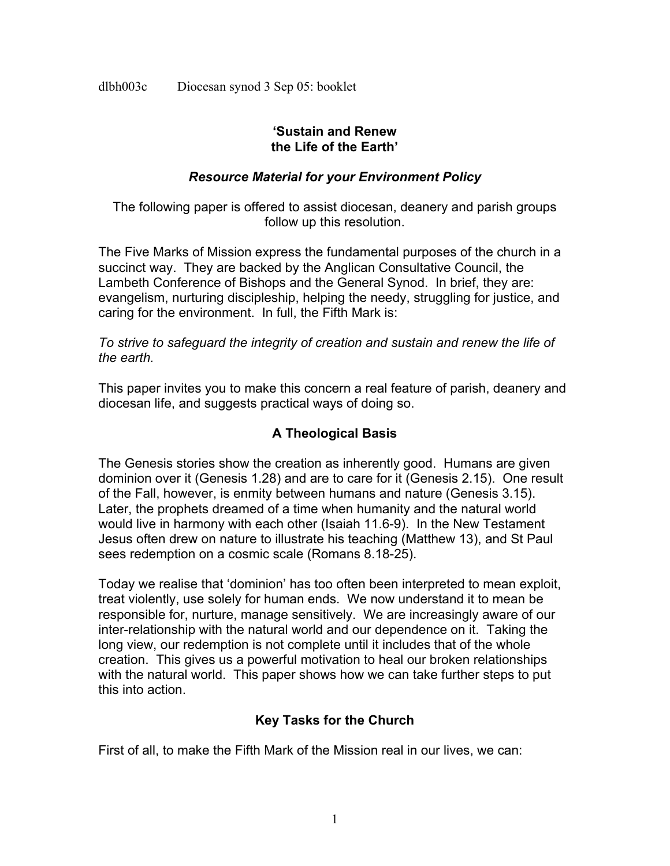dlbh003c Diocesan synod 3 Sep 05: booklet

#### **'Sustain and Renew the Life of the Earth'**

## *Resource Material for your Environment Policy*

The following paper is offered to assist diocesan, deanery and parish groups follow up this resolution.

The Five Marks of Mission express the fundamental purposes of the church in a succinct way. They are backed by the Anglican Consultative Council, the Lambeth Conference of Bishops and the General Synod. In brief, they are: evangelism, nurturing discipleship, helping the needy, struggling for justice, and caring for the environment. In full, the Fifth Mark is:

*To strive to safeguard the integrity of creation and sustain and renew the life of the earth.*

This paper invites you to make this concern a real feature of parish, deanery and diocesan life, and suggests practical ways of doing so.

# **A Theological Basis**

The Genesis stories show the creation as inherently good. Humans are given dominion over it (Genesis 1.28) and are to care for it (Genesis 2.15). One result of the Fall, however, is enmity between humans and nature (Genesis 3.15). Later, the prophets dreamed of a time when humanity and the natural world would live in harmony with each other (Isaiah 11.6-9). In the New Testament Jesus often drew on nature to illustrate his teaching (Matthew 13), and St Paul sees redemption on a cosmic scale (Romans 8.18-25).

Today we realise that 'dominion' has too often been interpreted to mean exploit, treat violently, use solely for human ends. We now understand it to mean be responsible for, nurture, manage sensitively. We are increasingly aware of our inter-relationship with the natural world and our dependence on it. Taking the long view, our redemption is not complete until it includes that of the whole creation. This gives us a powerful motivation to heal our broken relationships with the natural world. This paper shows how we can take further steps to put this into action.

# **Key Tasks for the Church**

First of all, to make the Fifth Mark of the Mission real in our lives, we can: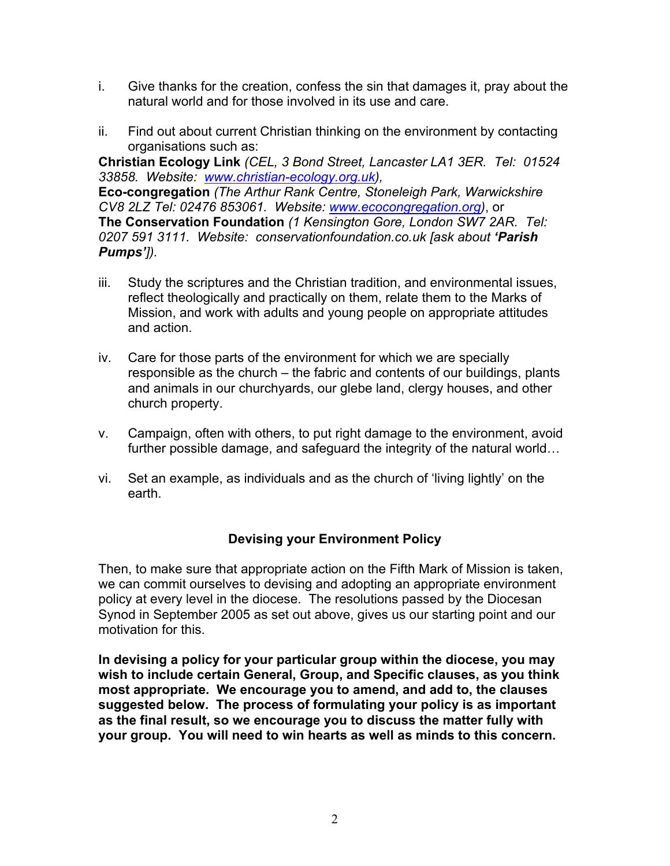- i. Give thanks for the creation, confess the sin that damages it, pray about the natural world and for those involved in its use and care.
- ii. Find out about current Christian thinking on the environment by contacting organisations such as:

**Christian Ecology Link** *(CEL, 3 Bond Street, Lancaster LA1 3ER. Tel: 01524 33858. Website: www.christian-ecology.org.uk),*

**Eco-congregation** *(The Arthur Rank Centre, Stoneleigh Park, Warwickshire CV8 2LZ Tel: 02476 853061. Website: www.ecocongregation.org)*, or **The Conservation Foundation** *(1 Kensington Gore, London SW7 2AR. Tel: 0207 591 3111. Website: conservationfoundation.co.uk [ask about 'Parish Pumps']).*

- iii. Study the scriptures and the Christian tradition, and environmental issues, reflect theologically and practically on them, relate them to the Marks of Mission, and work with adults and young people on appropriate attitudes and action.
- iv. Care for those parts of the environment for which we are specially responsible as the church – the fabric and contents of our buildings, plants and animals in our churchyards, our glebe land, clergy houses, and other church property.
- v. Campaign, often with others, to put right damage to the environment, avoid further possible damage, and safeguard the integrity of the natural world…
- vi. Set an example, as individuals and as the church of 'living lightly' on the earth.

# **Devising your Environment Policy**

Then, to make sure that appropriate action on the Fifth Mark of Mission is taken, we can commit ourselves to devising and adopting an appropriate environment policy at every level in the diocese. The resolutions passed by the Diocesan Synod in September 2005 as set out above, gives us our starting point and our motivation for this.

**In devising a policy for your particular group within the diocese, you may wish to include certain General, Group, and Specific clauses, as you think most appropriate. We encourage you to amend, and add to, the clauses suggested below. The process of formulating your policy is as important as the final result, so we encourage you to discuss the matter fully with your group. You will need to win hearts as well as minds to this concern.**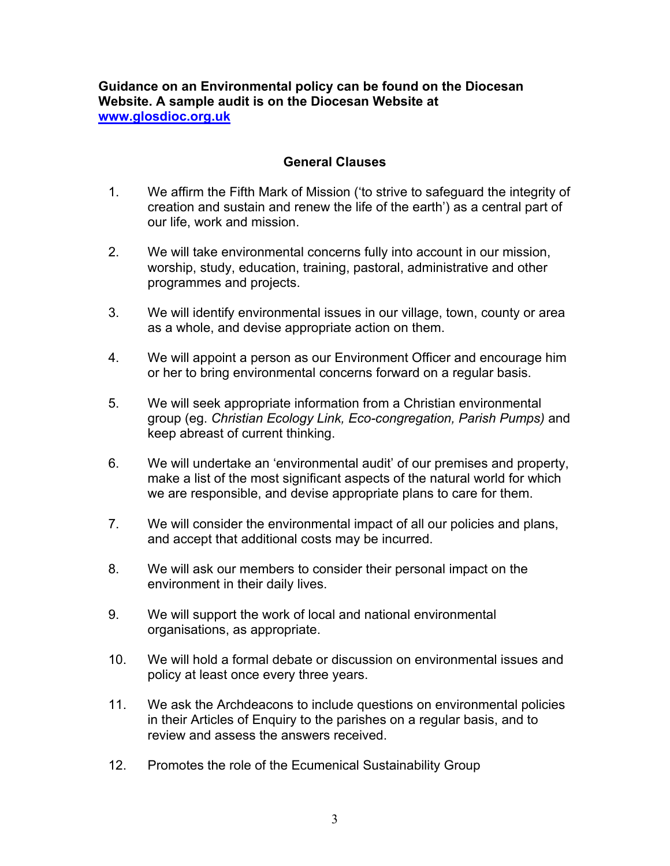**Guidance on an Environmental policy can be found on the Diocesan Website. A sample audit is on the Diocesan Website at www.glosdioc.org.uk**

## **General Clauses**

- 1. We affirm the Fifth Mark of Mission ('to strive to safeguard the integrity of creation and sustain and renew the life of the earth') as a central part of our life, work and mission.
- 2. We will take environmental concerns fully into account in our mission, worship, study, education, training, pastoral, administrative and other programmes and projects.
- 3. We will identify environmental issues in our village, town, county or area as a whole, and devise appropriate action on them.
- 4. We will appoint a person as our Environment Officer and encourage him or her to bring environmental concerns forward on a regular basis.
- 5. We will seek appropriate information from a Christian environmental group (eg. *Christian Ecology Link, Eco-congregation, Parish Pumps)* and keep abreast of current thinking.
- 6. We will undertake an 'environmental audit' of our premises and property, make a list of the most significant aspects of the natural world for which we are responsible, and devise appropriate plans to care for them.
- 7. We will consider the environmental impact of all our policies and plans, and accept that additional costs may be incurred.
- 8. We will ask our members to consider their personal impact on the environment in their daily lives.
- 9. We will support the work of local and national environmental organisations, as appropriate.
- 10. We will hold a formal debate or discussion on environmental issues and policy at least once every three years.
- 11. We ask the Archdeacons to include questions on environmental policies in their Articles of Enquiry to the parishes on a regular basis, and to review and assess the answers received.
- 12. Promotes the role of the Ecumenical Sustainability Group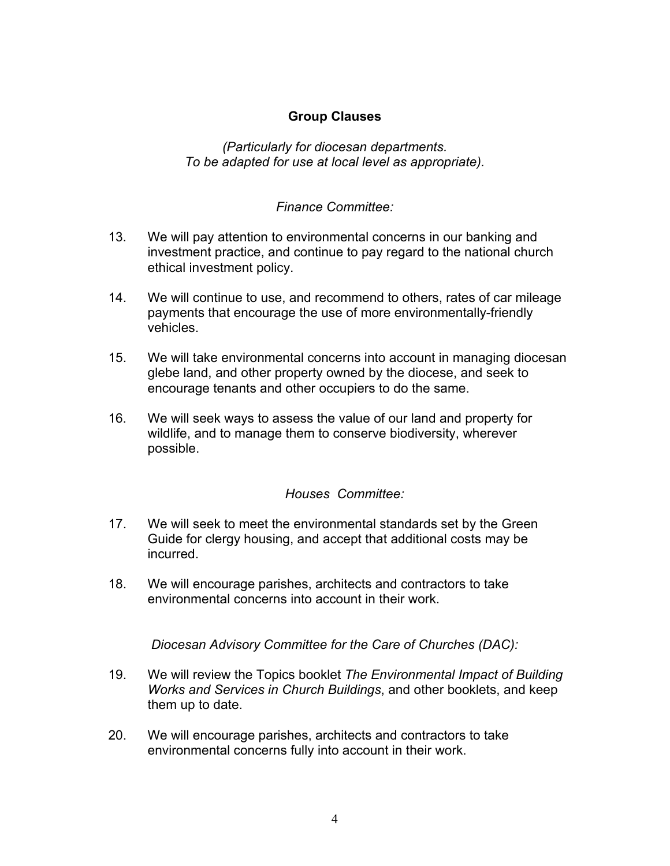## **Group Clauses**

*(Particularly for diocesan departments. To be adapted for use at local level as appropriate).*

#### *Finance Committee:*

- 13. We will pay attention to environmental concerns in our banking and investment practice, and continue to pay regard to the national church ethical investment policy.
- 14. We will continue to use, and recommend to others, rates of car mileage payments that encourage the use of more environmentally-friendly vehicles.
- 15. We will take environmental concerns into account in managing diocesan glebe land, and other property owned by the diocese, and seek to encourage tenants and other occupiers to do the same.
- 16. We will seek ways to assess the value of our land and property for wildlife, and to manage them to conserve biodiversity, wherever possible.

#### *Houses Committee:*

- 17. We will seek to meet the environmental standards set by the Green Guide for clergy housing, and accept that additional costs may be incurred.
- 18. We will encourage parishes, architects and contractors to take environmental concerns into account in their work.

*Diocesan Advisory Committee for the Care of Churches (DAC):* 

- 19. We will review the Topics booklet *The Environmental Impact of Building Works and Services in Church Buildings*, and other booklets, and keep them up to date.
- 20. We will encourage parishes, architects and contractors to take environmental concerns fully into account in their work.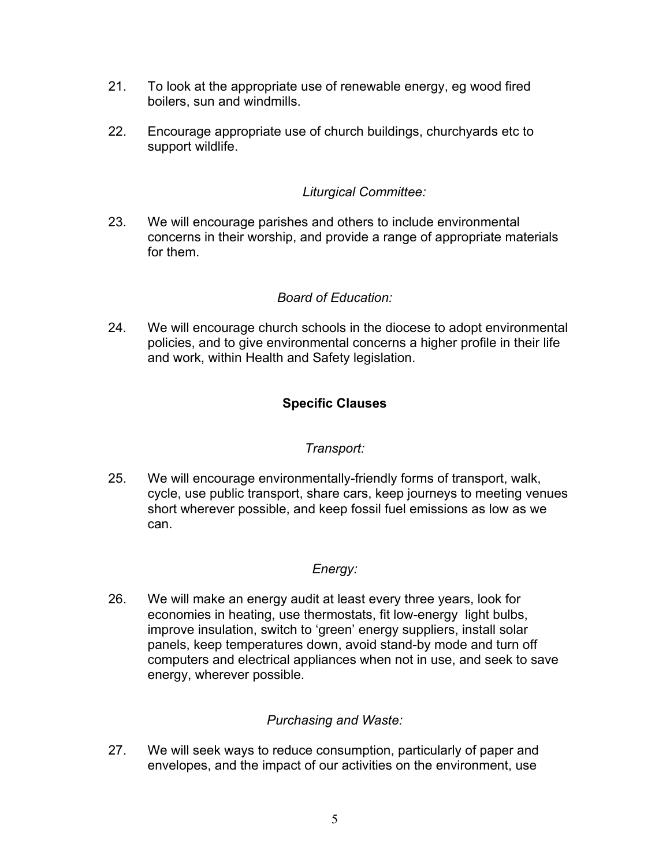- 21. To look at the appropriate use of renewable energy, eg wood fired boilers, sun and windmills.
- 22. Encourage appropriate use of church buildings, churchyards etc to support wildlife.

## *Liturgical Committee:*

23. We will encourage parishes and others to include environmental concerns in their worship, and provide a range of appropriate materials for them.

# *Board of Education:*

24. We will encourage church schools in the diocese to adopt environmental policies, and to give environmental concerns a higher profile in their life and work, within Health and Safety legislation.

# **Specific Clauses**

#### *Transport:*

25. We will encourage environmentally-friendly forms of transport, walk, cycle, use public transport, share cars, keep journeys to meeting venues short wherever possible, and keep fossil fuel emissions as low as we can.

# *Energy:*

26. We will make an energy audit at least every three years, look for economies in heating, use thermostats, fit low-energy light bulbs, improve insulation, switch to 'green' energy suppliers, install solar panels, keep temperatures down, avoid stand-by mode and turn off computers and electrical appliances when not in use, and seek to save energy, wherever possible.

# *Purchasing and Waste:*

27. We will seek ways to reduce consumption, particularly of paper and envelopes, and the impact of our activities on the environment, use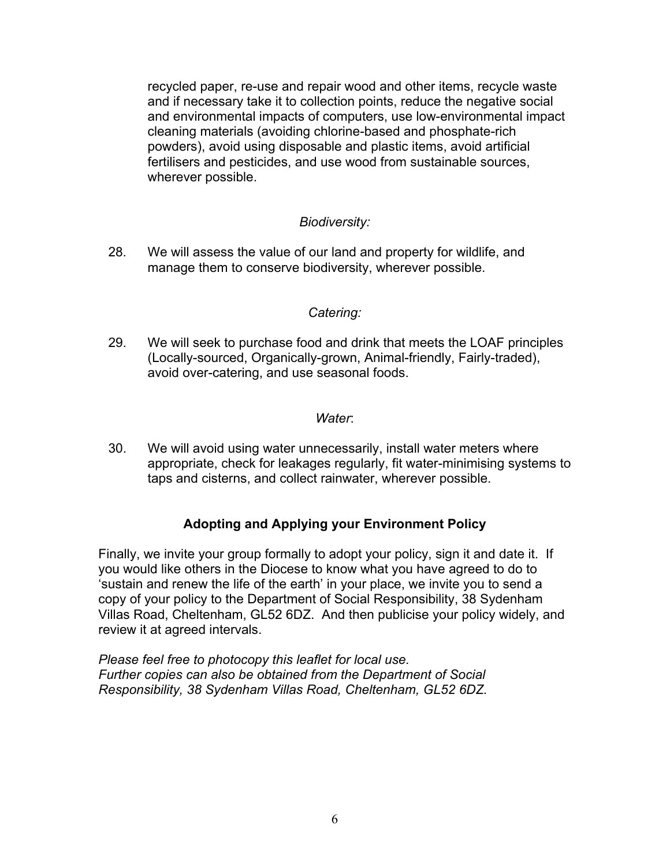recycled paper, re-use and repair wood and other items, recycle waste and if necessary take it to collection points, reduce the negative social and environmental impacts of computers, use low-environmental impact cleaning materials (avoiding chlorine-based and phosphate-rich powders), avoid using disposable and plastic items, avoid artificial fertilisers and pesticides, and use wood from sustainable sources, wherever possible.

## *Biodiversity:*

28. We will assess the value of our land and property for wildlife, and manage them to conserve biodiversity, wherever possible.

#### *Catering:*

29. We will seek to purchase food and drink that meets the LOAF principles (Locally-sourced, Organically-grown, Animal-friendly, Fairly-traded), avoid over-catering, and use seasonal foods.

#### *Water*:

30. We will avoid using water unnecessarily, install water meters where appropriate, check for leakages regularly, fit water-minimising systems to taps and cisterns, and collect rainwater, wherever possible.

#### **Adopting and Applying your Environment Policy**

Finally, we invite your group formally to adopt your policy, sign it and date it. If you would like others in the Diocese to know what you have agreed to do to 'sustain and renew the life of the earth' in your place, we invite you to send a copy of your policy to the Department of Social Responsibility, 38 Sydenham Villas Road, Cheltenham, GL52 6DZ. And then publicise your policy widely, and review it at agreed intervals.

*Please feel free to photocopy this leaflet for local use. Further copies can also be obtained from the Department of Social Responsibility, 38 Sydenham Villas Road, Cheltenham, GL52 6DZ.*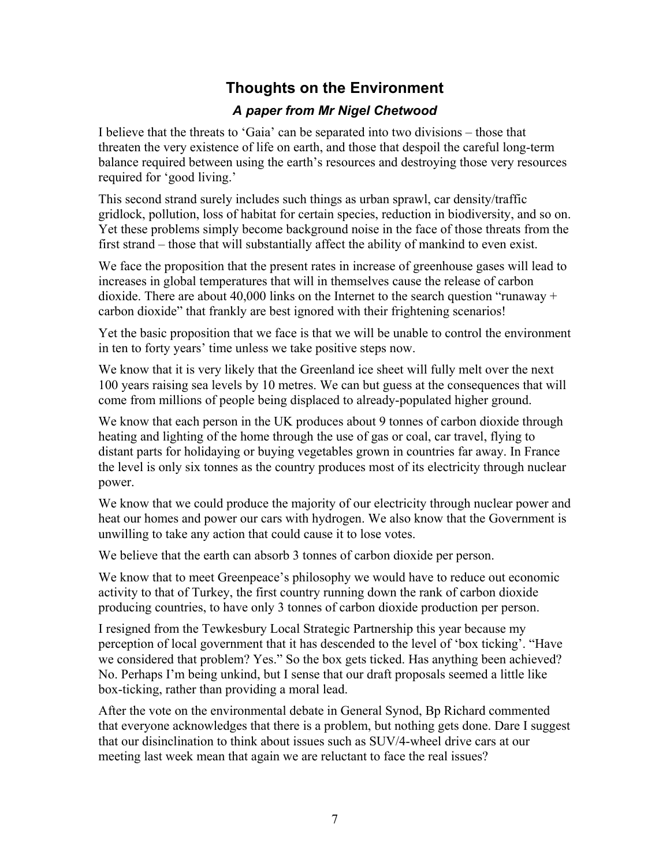# **Thoughts on the Environment**

# *A paper from Mr Nigel Chetwood*

I believe that the threats to 'Gaia' can be separated into two divisions – those that threaten the very existence of life on earth, and those that despoil the careful long-term balance required between using the earth's resources and destroying those very resources required for 'good living.'

This second strand surely includes such things as urban sprawl, car density/traffic gridlock, pollution, loss of habitat for certain species, reduction in biodiversity, and so on. Yet these problems simply become background noise in the face of those threats from the first strand – those that will substantially affect the ability of mankind to even exist.

We face the proposition that the present rates in increase of greenhouse gases will lead to increases in global temperatures that will in themselves cause the release of carbon dioxide. There are about 40,000 links on the Internet to the search question "runaway + carbon dioxide" that frankly are best ignored with their frightening scenarios!

Yet the basic proposition that we face is that we will be unable to control the environment in ten to forty years' time unless we take positive steps now.

We know that it is very likely that the Greenland ice sheet will fully melt over the next 100 years raising sea levels by 10 metres. We can but guess at the consequences that will come from millions of people being displaced to already-populated higher ground.

We know that each person in the UK produces about 9 tonnes of carbon dioxide through heating and lighting of the home through the use of gas or coal, car travel, flying to distant parts for holidaying or buying vegetables grown in countries far away. In France the level is only six tonnes as the country produces most of its electricity through nuclear power.

We know that we could produce the majority of our electricity through nuclear power and heat our homes and power our cars with hydrogen. We also know that the Government is unwilling to take any action that could cause it to lose votes.

We believe that the earth can absorb 3 tonnes of carbon dioxide per person.

We know that to meet Greenpeace's philosophy we would have to reduce out economic activity to that of Turkey, the first country running down the rank of carbon dioxide producing countries, to have only 3 tonnes of carbon dioxide production per person.

I resigned from the Tewkesbury Local Strategic Partnership this year because my perception of local government that it has descended to the level of 'box ticking'. "Have we considered that problem? Yes." So the box gets ticked. Has anything been achieved? No. Perhaps I'm being unkind, but I sense that our draft proposals seemed a little like box-ticking, rather than providing a moral lead.

After the vote on the environmental debate in General Synod, Bp Richard commented that everyone acknowledges that there is a problem, but nothing gets done. Dare I suggest that our disinclination to think about issues such as SUV/4-wheel drive cars at our meeting last week mean that again we are reluctant to face the real issues?